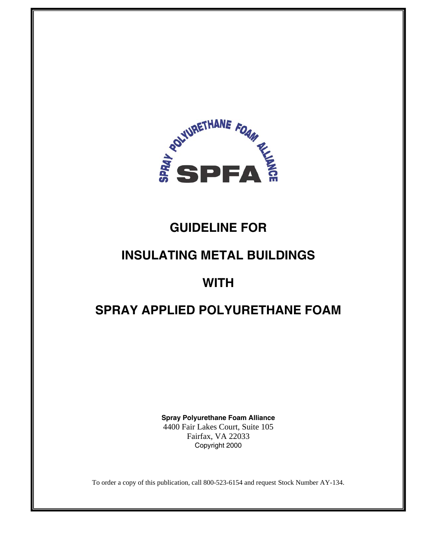

# **GUIDELINE FOR**

# **INSULATING METAL BUILDINGS**

# **WITH**

# **SPRAY APPLIED POLYURETHANE FOAM**

**Spray Polyurethane Foam Alliance**  4400 Fair Lakes Court, Suite 105 Fairfax, VA 22033 Copyright 2000

To order a copy of this publication, call 800-523-6154 and request Stock Number AY-134.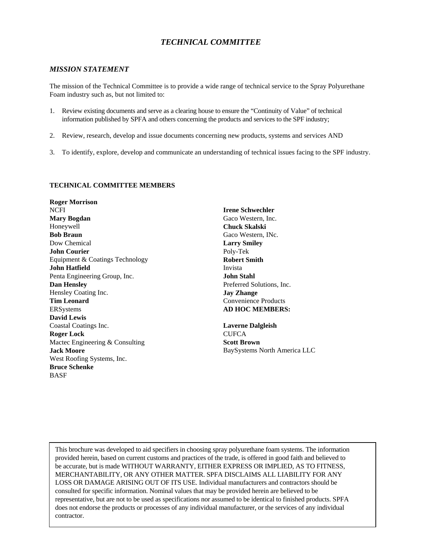### *TECHNICAL COMMITTEE*

#### *MISSION STATEMENT*

The mission of the Technical Committee is to provide a wide range of technical service to the Spray Polyurethane Foam industry such as, but not limited to:

- 1. Review existing documents and serve as a clearing house to ensure the "Continuity of Value" of technical information published by SPFA and others concerning the products and services to the SPF industry;
- 2. Review, research, develop and issue documents concerning new products, systems and services AND
- 3. To identify, explore, develop and communicate an understanding of technical issues facing to the SPF industry.

#### **TECHNICAL COMMITTEE MEMBERS**

**Roger Morrison**  NCFI **Mary Bogdan**  Honeywell **Bob Braun**  Dow Chemical **John Courier**  Equipment & Coatings Technology **John Hatfield**  Penta Engineering Group, Inc. **Dan Hensley**  Hensley Coating Inc. **Tim Leonard**  ERSystems **David Lewis**  Coastal Coatings Inc. **Roger Lock**  Mactec Engineering & Consulting **Jack Moore**  West Roofing Systems, Inc. **Bruce Schenke**  BASF

**Irene Schwechler**  Gaco Western, Inc. **Chuck Skalski**  Gaco Western, INc. **Larry Smiley**  Poly-Tek **Robert Smith**  Invista **John Stahl**  Preferred Solutions, Inc. **Jay Zhange**  Convenience Products **AD HOC MEMBERS:** 

**Laverne Dalgleish CUFCA Scott Brown**  BaySystems North America LLC

This brochure was developed to aid specifiers in choosing spray polyurethane foam systems. The information provided herein, based on current customs and practices of the trade, is offered in good faith and believed to be accurate, but is made WITHOUT WARRANTY, EITHER EXPRESS OR IMPLIED, AS TO FITNESS, MERCHANTABILITY, OR ANY OTHER MATTER. SPFA DISCLAIMS ALL LIABILITY FOR ANY LOSS OR DAMAGE ARISING OUT OF ITS USE. Individual manufacturers and contractors should be consulted for specific information. Nominal values that may be provided herein are believed to be representative, but are not to be used as specifications nor assumed to be identical to finished products. SPFA does not endorse the products or processes of any individual manufacturer, or the services of any individual contractor.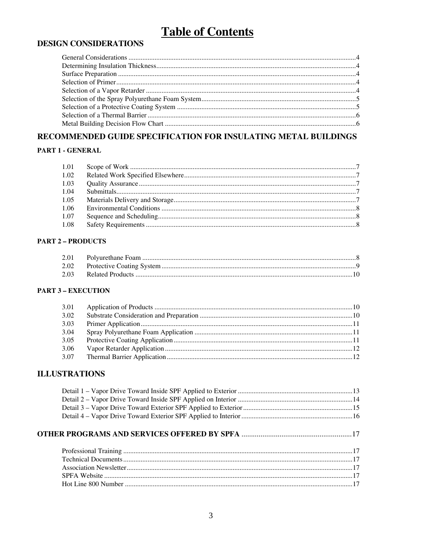# **Table of Contents**

## **DESIGN CONSIDERATIONS**

## RECOMMENDED GUIDE SPECIFICATION FOR INSULATING METAL BUILDINGS

#### PART 1 - GENERAL

#### **PART 2 - PRODUCTS**

#### **PART 3 - EXECUTION**

| 3.01 |  |
|------|--|
| 3.02 |  |
| 3.03 |  |
| 3.04 |  |
| 3.05 |  |
| 3.06 |  |
| 3.07 |  |
|      |  |

### **ILLUSTRATIONS**

###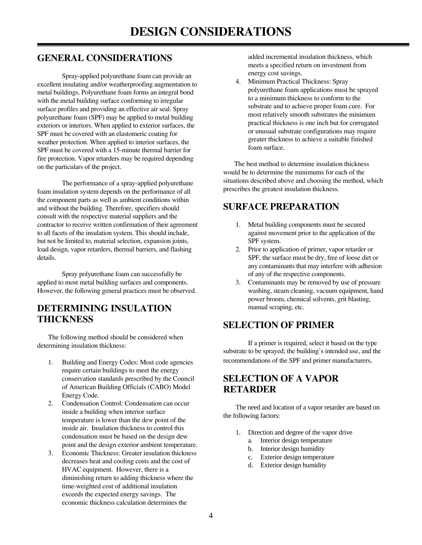## **GENERAL CONSIDERATIONS**

 Spray-applied polyurethane foam can provide an excellent insulating and/or weatherproofing augmentation to metal buildings. Polyurethane foam forms an integral bond with the metal building surface conforming to irregular surface profiles and providing an effective air seal. Spray polyurethane foam (SPF) may be applied to metal building exteriors or interiors. When applied to exterior surfaces, the SPF must be covered with an elastomeric coating for weather protection. When applied to interior surfaces, the SPF must be covered with a 15-minute thermal barrier for fire protection. Vapor retarders may be required depending on the particulars of the project.

 The performance of a spray-applied polyurethane foam insulation system depends on the performance of all the component parts as well as ambient conditions within and without the building. Therefore, specifiers should consult with the respective material suppliers and the contractor to receive written confirmation of their agreement to all facets of the insulation system. This should include, but not be limited to, material selection, expansion joints, load design, vapor retarders, thermal barriers, and flashing details.

 Spray polyurethane foam can successfully be applied to most metal building surfaces and components. However, the following general practices must be observed.

## **DETERMINING INSULATION THICKNESS**

The following method should be considered when determining insulation thickness:

- 1. Building and Energy Codes: Most code agencies require certain buildings to meet the energy conservation standards prescribed by the Council of American Building Officials (CABO) Model Energy Code.
- 2. Condensation Control: Condensation can occur inside a building when interior surface temperature is lower than the dew point of the inside air. Insulation thickness to control this condensation must be based on the design dew point and the design exterior ambient temperature.
- 3. Economic Thickness: Greater insulation thickness decreases heat and cooling costs and the cost of HVAC equipment. However, there is a diminishing return to adding thickness where the time-weighted cost of additional insulation exceeds the expected energy savings. The economic thickness calculation determines the

added incremental insulation thickness, which meets a specified return on investment from energy cost savings.

4. Minimum Practical Thickness: Spray polyurethane foam applications must be sprayed to a minimum thickness to conform to the substrate and to achieve proper foam cure. For most relatively smooth substrates the minimum practical thickness is one inch but for corrugated or unusual substrate configurations may require greater thickness to achieve a suitable finished foam surface.

 The best method to determine insulation thickness would be to determine the minimums for each of the situations described above and choosing the method, which prescribes the greatest insulation thickness.

## **SURFACE PREPARATION**

- 1. Metal building components must be secured against movement prior to the application of the SPF system.
- 2. Prior to application of primer, vapor retarder or SPF, the surface must be dry, free of loose dirt or any contaminants that may interfere with adhesion of any of the respective components.
- 3. Contaminants may be removed by use of pressure washing, steam cleaning, vacuum equipment, hand power broom, chemical solvents, grit blasting, manual scraping, etc.

## **SELECTION OF PRIMER**

 If a primer is required, select it based on the type substrate to be sprayed; the building's intended use, and the recommendations of the SPF and primer manufacturers.

## **SELECTION OF A VAPOR RETARDER**

 The need and location of a vapor retarder are based on the following factors:

- 1. Direction and degree of the vapor drive
	- a. Interior design temperature
	- b. Interior design humidity
	- c. Exterior design temperature
	- d. Exterior design humidity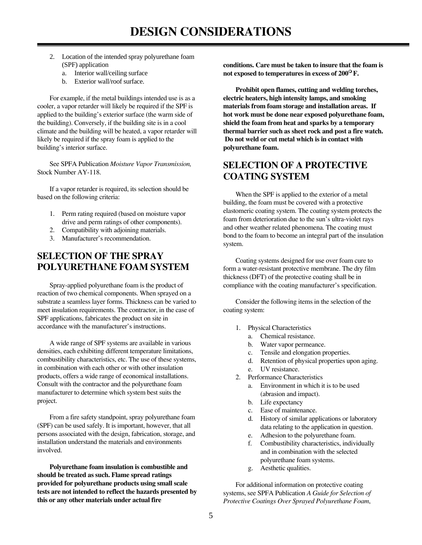- 2. Location of the intended spray polyurethane foam (SPF) application
	- a. Interior wall/ceiling surface
	- b. Exterior wall/roof surface.

 For example, if the metal buildings intended use is as a cooler, a vapor retarder will likely be required if the SPF is applied to the building's exterior surface (the warm side of the building). Conversely, if the building site is in a cool climate and the building will be heated, a vapor retarder will likely be required if the spray foam is applied to the building's interior surface.

 See SPFA Publication *Moisture Vapor Transmission,*  Stock Number AY-118.

 If a vapor retarder is required, its selection should be based on the following criteria:

- 1. Perm rating required (based on moisture vapor drive and perm ratings of other components).
- 2. Compatibility with adjoining materials.
- 3. Manufacturer's recommendation.

## **SELECTION OF THE SPRAY POLYURETHANE FOAM SYSTEM**

 Spray-applied polyurethane foam is the product of reaction of two chemical components. When sprayed on a substrate a seamless layer forms. Thickness can be varied to meet insulation requirements. The contractor, in the case of SPF applications, fabricates the product on site in accordance with the manufacturer's instructions.

 A wide range of SPF systems are available in various densities, each exhibiting different temperature limitations, combustibility characteristics, etc. The use of these systems, in combination with each other or with other insulation products, offers a wide range of economical installations. Consult with the contractor and the polyurethane foam manufacturer to determine which system best suits the project.

 From a fire safety standpoint, spray polyurethane foam (SPF) can be used safely. It is important, however, that all persons associated with the design, fabrication, storage, and installation understand the materials and environments involved.

 **Polyurethane foam insulation is combustible and should be treated as such. Flame spread ratings provided for polyurethane products using small scale tests are not intended to reflect the hazards presented by this or any other materials under actual fire** 

**conditions. Care must be taken to insure that the foam is not exposed to temperatures in excess of 200 F.** 

**Prohibit open flames, cutting and welding torches, electric heaters, high intensity lamps, and smoking materials from foam storage and installation areas. If hot work must be done near exposed polyurethane foam, shield the foam from heat and sparks by a temporary thermal barrier such as sheet rock and post a fire watch. Do not weld or cut metal which is in contact with polyurethane foam.** 

## **SELECTION OF A PROTECTIVE COATING SYSTEM**

 When the SPF is applied to the exterior of a metal building, the foam must be covered with a protective elastomeric coating system. The coating system protects the foam from deterioration due to the sun's ultra-violet rays and other weather related phenomena. The coating must bond to the foam to become an integral part of the insulation system.

 Coating systems designed for use over foam cure to form a water-resistant protective membrane. The dry film thickness (DFT) of the protective coating shall be in compliance with the coating manufacturer's specification.

 Consider the following items in the selection of the coating system:

- 1. Physical Characteristics
	- a. Chemical resistance.
	- b. Water vapor permeance.
	- c. Tensile and elongation properties.
	- d. Retention of physical properties upon aging.
	- e. UV resistance.
- 2. Performance Characteristics
	- a. Environment in which it is to be used (abrasion and impact).
	- b. Life expectancy
	- c. Ease of maintenance.
	- d. History of similar applications or laboratory data relating to the application in question.
	- e. Adhesion to the polyurethane foam.
	- f. Combustibility characteristics, individually and in combination with the selected polyurethane foam systems.
	- g. Aesthetic qualities.

 For additional information on protective coating systems, see SPFA Publication *A Guide for Selection of Protective Coatings Over Sprayed Polyurethane Foam*,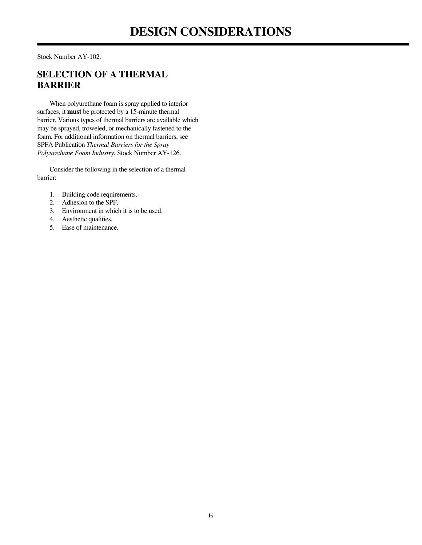Stock Number AY-102.

## **SELECTION OF A THERMAL BARRIER**

 When polyurethane foam is spray applied to interior surfaces, it **must** be protected by a 15-minute thermal barrier. Various types of thermal barriers are available which may be sprayed, troweled, or mechanically fastened to the foam. For additional information on thermal barriers, see SPFA Publication *Thermal Barriers for the Spray Polyurethane Foam Industry*, Stock Number AY-126.

 Consider the following in the selection of a thermal barrier:

- 1. Building code requirements.
- 2. Adhesion to the SPF.
- 3. Environment in which it is to be used.
- 4. Aesthetic qualities.
- 5. Ease of maintenance.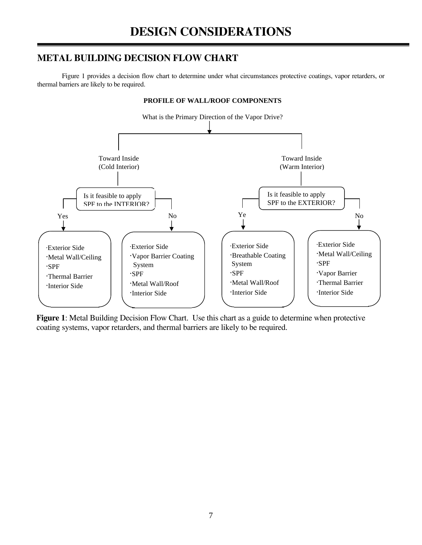## **METAL BUILDING DECISION FLOW CHART**

 Figure 1 provides a decision flow chart to determine under what circumstances protective coatings, vapor retarders, or thermal barriers are likely to be required.



**Figure 1**: Metal Building Decision Flow Chart. Use this chart as a guide to determine when protective coating systems, vapor retarders, and thermal barriers are likely to be required.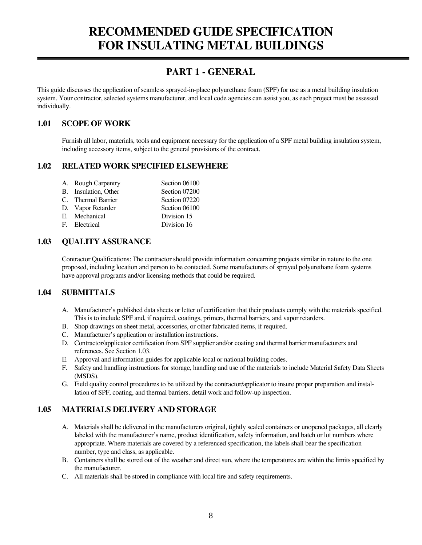## **PART 1 - GENERAL**

This guide discusses the application of seamless sprayed-in-place polyurethane foam (SPF) for use as a metal building insulation system. Your contractor, selected systems manufacturer, and local code agencies can assist you, as each project must be assessed individually.

### **1.01 SCOPE OF WORK**

 Furnish all labor, materials, tools and equipment necessary for the application of a SPF metal building insulation system, including accessory items, subject to the general provisions of the contract.

### **1.02 RELATED WORK SPECIFIED ELSEWHERE**

| A. Rough Carpentry   | Section 06100 |
|----------------------|---------------|
| B. Insulation, Other | Section 07200 |
| C. Thermal Barrier   | Section 07220 |
| D. Vapor Retarder    | Section 06100 |
| E. Mechanical        | Division 15   |
| F. Electrical        | Division 16   |

### **1.03 QUALITY ASSURANCE**

 Contractor Qualifications: The contractor should provide information concerning projects similar in nature to the one proposed, including location and person to be contacted. Some manufacturers of sprayed polyurethane foam systems have approval programs and/or licensing methods that could be required.

### **1.04 SUBMITTALS**

- A. Manufacturer's published data sheets or letter of certification that their products comply with the materials specified. This is to include SPF and, if required, coatings, primers, thermal barriers, and vapor retarders.
- B. Shop drawings on sheet metal, accessories, or other fabricated items, if required.
- C. Manufacturer's application or installation instructions.
- D. Contractor/applicator certification from SPF supplier and/or coating and thermal barrier manufacturers and references. See Section 1.03.
- E. Approval and information guides for applicable local or national building codes.
- F. Safety and handling instructions for storage, handling and use of the materials to include Material Safety Data Sheets (MSDS).
- G. Field quality control procedures to be utilized by the contractor/applicator to insure proper preparation and installation of SPF, coating, and thermal barriers, detail work and follow-up inspection.

### **1.05 MATERIALS DELIVERY AND STORAGE**

- A. Materials shall be delivered in the manufacturers original, tightly sealed containers or unopened packages, all clearly labeled with the manufacturer's name, product identification, safety information, and batch or lot numbers where appropriate. Where materials are covered by a referenced specification, the labels shall bear the specification number, type and class, as applicable.
- B. Containers shall be stored out of the weather and direct sun, where the temperatures are within the limits specified by the manufacturer.
- C. All materials shall be stored in compliance with local fire and safety requirements.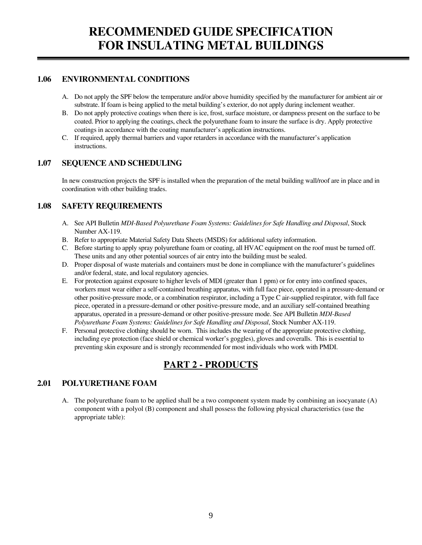### **1.06 ENVIRONMENTAL CONDITIONS**

- A. Do not apply the SPF below the temperature and/or above humidity specified by the manufacturer for ambient air or substrate. If foam is being applied to the metal building's exterior, do not apply during inclement weather.
- B. Do not apply protective coatings when there is ice, frost, surface moisture, or dampness present on the surface to be coated. Prior to applying the coatings, check the polyurethane foam to insure the surface is dry. Apply protective coatings in accordance with the coating manufacturer's application instructions.
- C. If required, apply thermal barriers and vapor retarders in accordance with the manufacturer's application instructions.

### **1.07 SEQUENCE AND SCHEDULING**

 In new construction projects the SPF is installed when the preparation of the metal building wall/roof are in place and in coordination with other building trades.

### **1.08 SAFETY REQUIREMENTS**

- A. See API Bulletin *MDI-Based Polyurethane Foam Systems: Guidelines for Safe Handling and Disposal*, Stock Number AX-119.
- B. Refer to appropriate Material Safety Data Sheets (MSDS) for additional safety information.
- C. Before starting to apply spray polyurethane foam or coating, all HVAC equipment on the roof must be turned off. These units and any other potential sources of air entry into the building must be sealed.
- D. Proper disposal of waste materials and containers must be done in compliance with the manufacturer's guidelines and/or federal, state, and local regulatory agencies.
- E. For protection against exposure to higher levels of MDI (greater than 1 ppm) or for entry into confined spaces, workers must wear either a self-contained breathing apparatus, with full face piece, operated in a pressure-demand or other positive-pressure mode, or a combination respirator, including a Type C air-supplied respirator, with full face piece, operated in a pressure-demand or other positive-pressure mode, and an auxiliary self-contained breathing apparatus, operated in a pressure-demand or other positive-pressure mode. See API Bulletin *MDI-Based Polyurethane Foam Systems: Guidelines for Safe Handling and Disposal*, Stock Number AX-119.
- F. Personal protective clothing should be worn. This includes the wearing of the appropriate protective clothing, including eye protection (face shield or chemical worker's goggles), gloves and coveralls. This is essential to preventing skin exposure and is strongly recommended for most individuals who work with PMDI.

## **PART 2 - PRODUCTS**

## **2.01 POLYURETHANE FOAM**

 A. The polyurethane foam to be applied shall be a two component system made by combining an isocyanate (A) component with a polyol (B) component and shall possess the following physical characteristics (use the appropriate table):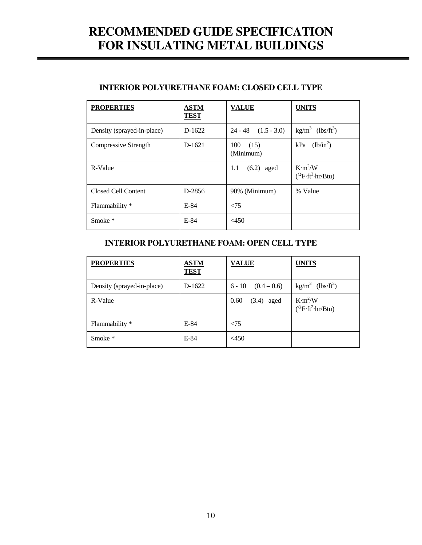| <b>PROPERTIES</b>          | <b>ASTM</b><br>TEST | <b>VALUE</b>             | <b>UNITS</b>                                                   |
|----------------------------|---------------------|--------------------------|----------------------------------------------------------------|
| Density (sprayed-in-place) | $D-1622$            | $24 - 48$ $(1.5 - 3.0)$  | $\text{kg/m}^3$ (lbs/ft <sup>3</sup> )                         |
| Compressive Strength       | $D-1621$            | 100<br>(15)<br>(Minimum) | $kPa$ (lb/in <sup>2</sup> )                                    |
| R-Value                    |                     | $(6.2)$ aged<br>1.1      | K·m <sup>2</sup> /W<br>$(^{\circ}\text{F·ft}^2\text{-hr/Btu})$ |
| Closed Cell Content        | D-2856              | 90% (Minimum)            | % Value                                                        |
| Flammability *             | $E-84$              | $\leq$ 75                |                                                                |
| Smoke $*$                  | $E-84$              | $<$ 450                  |                                                                |

### **INTERIOR POLYURETHANE FOAM: CLOSED CELL TYPE**

### **INTERIOR POLYURETHANE FOAM: OPEN CELL TYPE**

| <b>PROPERTIES</b>          | <b>ASTM</b><br><b>TEST</b> | <b>VALUE</b>           | <b>UNITS</b>                                               |
|----------------------------|----------------------------|------------------------|------------------------------------------------------------|
| Density (sprayed-in-place) | D-1622                     | $6 - 10$ $(0.4 - 0.6)$ | $\text{kg/m}^3$ (lbs/ft <sup>3</sup> )                     |
| R-Value                    |                            | $(3.4)$ aged<br>0.60   | K·m <sup>2</sup> /W<br>$(^{\circ}F\cdot ft^2\cdot hr/Btu)$ |
| Flammability *             | $E-84$                     | < 75                   |                                                            |
| Smoke $*$                  | $E-84$                     | $<$ 450                |                                                            |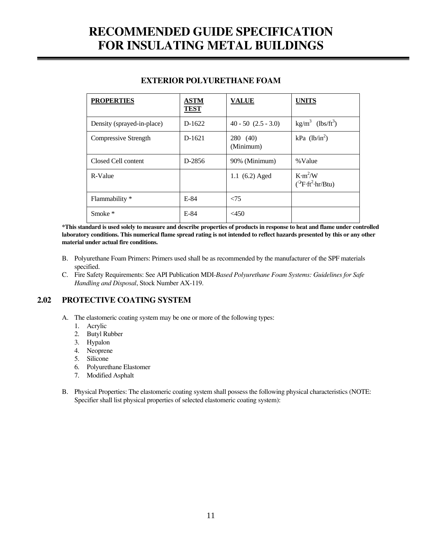| <b>PROPERTIES</b>          | <b>ASTM</b><br><b>TEST</b> | <b>VALUE</b>            | <b>UNITS</b>                                               |
|----------------------------|----------------------------|-------------------------|------------------------------------------------------------|
| Density (sprayed-in-place) | D-1622                     | $40 - 50$ $(2.5 - 3.0)$ | $(lbs/ft^3)$<br>$kg/m^3$                                   |
| Compressive Strength       | $D-1621$                   | 280 (40)<br>(Minimum)   | kPa $(lb/in^2)$                                            |
| Closed Cell content        | D-2856                     | 90% (Minimum)           | %Value                                                     |
| R-Value                    |                            | 1.1 $(6.2)$ Aged        | K·m <sup>2</sup> /W<br>$(^{\circ}F\cdot ft^2\cdot hr/Btu)$ |
| Flammability *             | $E-84$                     | $\leq$ 75               |                                                            |
| Smoke *                    | E-84                       | $<$ 450                 |                                                            |

#### **EXTERIOR POLYURETHANE FOAM**

 **\*This standard is used solely to measure and describe properties of products in response to heat and flame under controlled laboratory conditions. This numerical flame spread rating is not intended to reflect hazards presented by this or any other material under actual fire conditions.** 

- B. Polyurethane Foam Primers: Primers used shall be as recommended by the manufacturer of the SPF materials specified.
- C. Fire Safety Requirements: See API Publication MDI*-Based Polyurethane Foam Systems: Guidelines for Safe Handling and Disposal*, Stock Number AX-119.

### **2.02 PROTECTIVE COATING SYSTEM**

- A. The elastomeric coating system may be one or more of the following types:
	- 1. Acrylic
	- 2. Butyl Rubber
	- 3. Hypalon
	- 4. Neoprene
	- 5. Silicone
	- 6. Polyurethane Elastomer
	- 7. Modified Asphalt
- B. Physical Properties: The elastomeric coating system shall possess the following physical characteristics (NOTE: Specifier shall list physical properties of selected elastomeric coating system):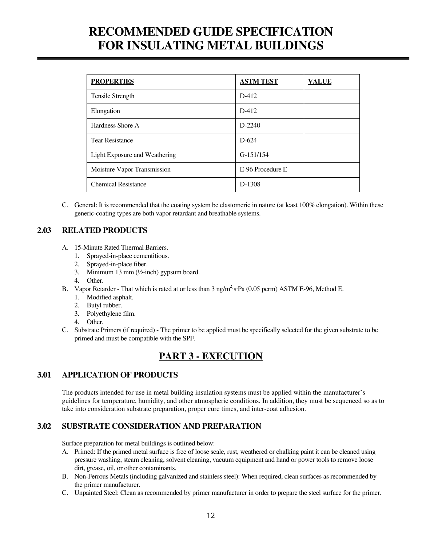| <b>PROPERTIES</b>             | <b>ASTM TEST</b> | <b>VALUE</b> |
|-------------------------------|------------------|--------------|
| Tensile Strength              | $D-412$          |              |
| Elongation                    | $D-412$          |              |
| Hardness Shore A              | $D-2240$         |              |
| <b>Tear Resistance</b>        | $D-624$          |              |
| Light Exposure and Weathering | $G-151/154$      |              |
| Moisture Vapor Transmission   | E-96 Procedure E |              |
| <b>Chemical Resistance</b>    | D-1308           |              |

 C. General: It is recommended that the coating system be elastomeric in nature (at least 100% elongation). Within these generic-coating types are both vapor retardant and breathable systems.

### **2.03 RELATED PRODUCTS**

- A. 15-Minute Rated Thermal Barriers.
	- 1. Sprayed-in-place cementitious.
	- 2. Sprayed-in-place fiber.
	- 3. Minimum 13 mm (½-inch) gypsum board.
	- 4. Other.
- B. Vapor Retarder That which is rated at or less than 3 ng/m<sup>2</sup>·s·Pa (0.05 perm) ASTM E-96, Method E.
	- 1. Modified asphalt.
	- 2. Butyl rubber.
	- 3. Polyethylene film.
	- 4. Other.
	- C. Substrate Primers (if required) The primer to be applied must be specifically selected for the given substrate to be primed and must be compatible with the SPF.

## **PART 3 - EXECUTION**

### **3.01 APPLICATION OF PRODUCTS**

 The products intended for use in metal building insulation systems must be applied within the manufacturer's guidelines for temperature, humidity, and other atmospheric conditions. In addition, they must be sequenced so as to take into consideration substrate preparation, proper cure times, and inter-coat adhesion.

### **3.02 SUBSTRATE CONSIDERATION AND PREPARATION**

Surface preparation for metal buildings is outlined below:

- A. Primed: If the primed metal surface is free of loose scale, rust, weathered or chalking paint it can be cleaned using pressure washing, steam cleaning, solvent cleaning, vacuum equipment and hand or power tools to remove loose dirt, grease, oil, or other contaminants.
- B. Non-Ferrous Metals (including galvanized and stainless steel): When required, clean surfaces as recommended by the primer manufacturer.
- C. Unpainted Steel: Clean as recommended by primer manufacturer in order to prepare the steel surface for the primer.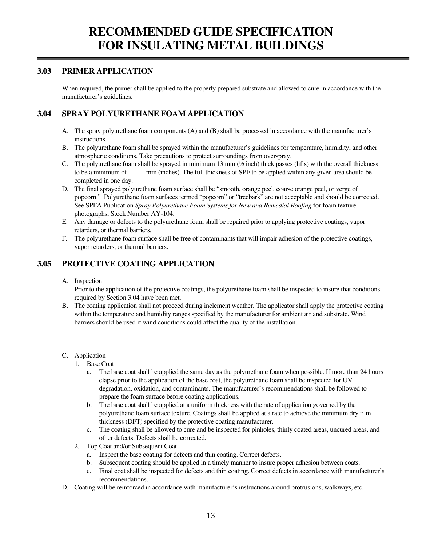### **3.03 PRIMER APPLICATION**

 When required, the primer shall be applied to the properly prepared substrate and allowed to cure in accordance with the manufacturer's guidelines.

### **3.04 SPRAY POLYURETHANE FOAM APPLICATION**

- A. The spray polyurethane foam components (A) and (B) shall be processed in accordance with the manufacturer's instructions.
- B. The polyurethane foam shall be sprayed within the manufacturer's guidelines for temperature, humidity, and other atmospheric conditions. Take precautions to protect surroundings from overspray.
- C. The polyurethane foam shall be sprayed in minimum 13 mm  $(½$  inch) thick passes (lifts) with the overall thickness to be a minimum of mm (inches). The full thickness of SPF to be applied within any given area should be completed in one day.
- D. The final sprayed polyurethane foam surface shall be "smooth, orange peel, coarse orange peel, or verge of popcorn." Polyurethane foam surfaces termed "popcorn" or "treebark" are not acceptable and should be corrected. See SPFA Publication *Spray Polyurethane Foam Systems for New and Remedial Roofing* for foam texture photographs, Stock Number AY-104.
- E. Any damage or defects to the polyurethane foam shall be repaired prior to applying protective coatings, vapor retarders, or thermal barriers.
- F. The polyurethane foam surface shall be free of contaminants that will impair adhesion of the protective coatings, vapor retarders, or thermal barriers.

### **3.05 PROTECTIVE COATING APPLICATION**

#### A. Inspection

 Prior to the application of the protective coatings, the polyurethane foam shall be inspected to insure that conditions required by Section 3.04 have been met.

 B. The coating application shall not proceed during inclement weather. The applicator shall apply the protective coating within the temperature and humidity ranges specified by the manufacturer for ambient air and substrate. Wind barriers should be used if wind conditions could affect the quality of the installation.

#### C. Application

- 1. Base Coat
	- a. The base coat shall be applied the same day as the polyurethane foam when possible. If more than 24 hours elapse prior to the application of the base coat, the polyurethane foam shall be inspected for UV degradation, oxidation, and contaminants. The manufacturer's recommendations shall be followed to prepare the foam surface before coating applications.
	- b. The base coat shall be applied at a uniform thickness with the rate of application governed by the polyurethane foam surface texture. Coatings shall be applied at a rate to achieve the minimum dry film thickness (DFT) specified by the protective coating manufacturer.
	- c. The coating shall be allowed to cure and be inspected for pinholes, thinly coated areas, uncured areas, and other defects. Defects shall be corrected.
- 2. Top Coat and/or Subsequent Coat
	- a. Inspect the base coating for defects and thin coating. Correct defects.
	- b. Subsequent coating should be applied in a timely manner to insure proper adhesion between coats.
	- c. Final coat shall be inspected for defects and thin coating. Correct defects in accordance with manufacturer's recommendations.
- D. Coating will be reinforced in accordance with manufacturer's instructions around protrusions, walkways, etc.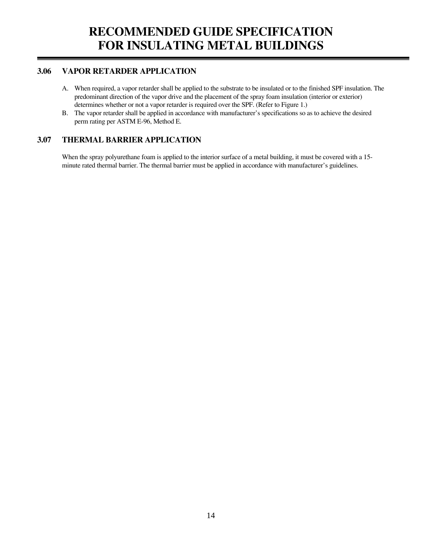### **3.06 VAPOR RETARDER APPLICATION**

- A. When required, a vapor retarder shall be applied to the substrate to be insulated or to the finished SPF insulation. The predominant direction of the vapor drive and the placement of the spray foam insulation (interior or exterior) determines whether or not a vapor retarder is required over the SPF. (Refer to Figure 1.)
- B. The vapor retarder shall be applied in accordance with manufacturer's specifications so as to achieve the desired perm rating per ASTM E-96, Method E.

### **3.07 THERMAL BARRIER APPLICATION**

 When the spray polyurethane foam is applied to the interior surface of a metal building, it must be covered with a 15 minute rated thermal barrier. The thermal barrier must be applied in accordance with manufacturer's guidelines.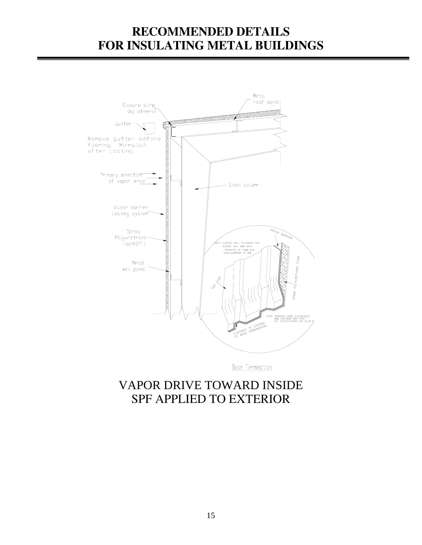

Base Termination

# VAPOR DRIVE TOWARD INSIDE SPF APPLIED TO EXTERIOR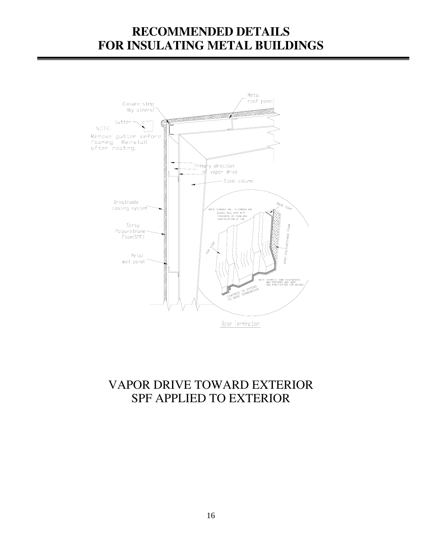

# VAPOR DRIVE TOWARD EXTERIOR SPF APPLIED TO EXTERIOR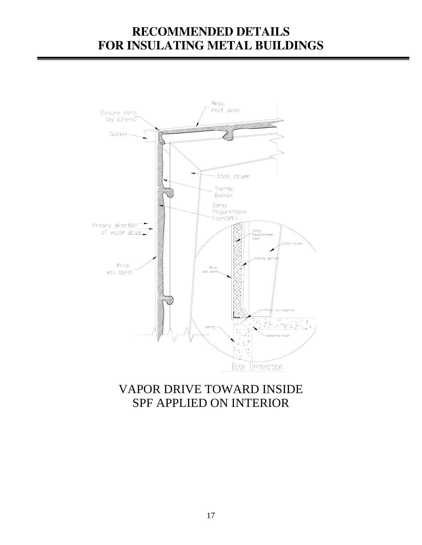

# VAPOR DRIVE TOWARD INSIDE SPF APPLIED ON INTERIOR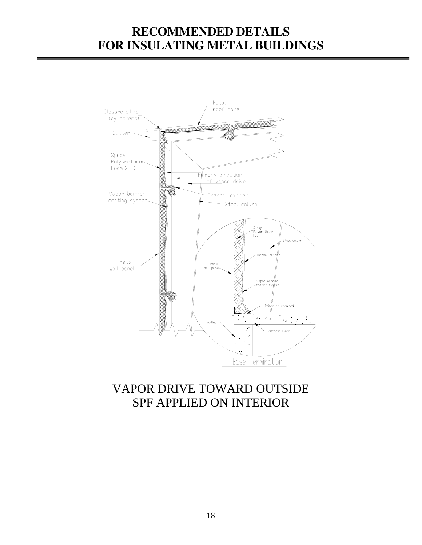

# VAPOR DRIVE TOWARD OUTSIDE SPF APPLIED ON INTERIOR